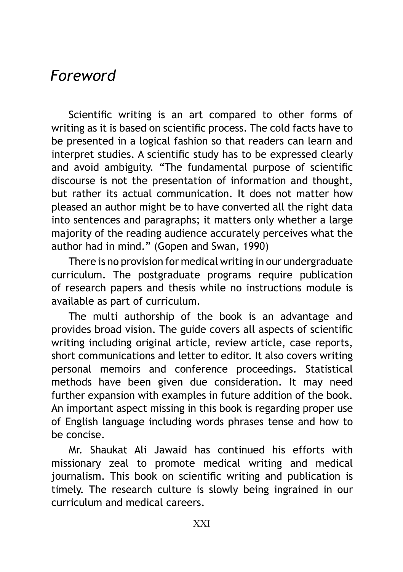## *Foreword*

Scientific writing is an art compared to other forms of writing as it is based on scientific process. The cold facts have to be presented in a logical fashion so that readers can learn and interpret studies. A scientific study has to be expressed clearly and avoid ambiguity. "The fundamental purpose of scientific discourse is not the presentation of information and thought, but rather its actual communication. It does not matter how pleased an author might be to have converted all the right data into sentences and paragraphs; it matters only whether a large majority of the reading audience accurately perceives what the author had in mind." (Gopen and Swan, 1990)

There is no provision for medical writing in our undergraduate curriculum. The postgraduate programs require publication of research papers and thesis while no instructions module is available as part of curriculum.

The multi authorship of the book is an advantage and provides broad vision. The guide covers all aspects of scientific writing including original article, review article, case reports, short communications and letter to editor. It also covers writing personal memoirs and conference proceedings. Statistical methods have been given due consideration. It may need further expansion with examples in future addition of the book. An important aspect missing in this book is regarding proper use of English language including words phrases tense and how to be concise.

Mr. Shaukat Ali Jawaid has continued his efforts with missionary zeal to promote medical writing and medical journalism. This book on scientific writing and publication is timely. The research culture is slowly being ingrained in our curriculum and medical careers.